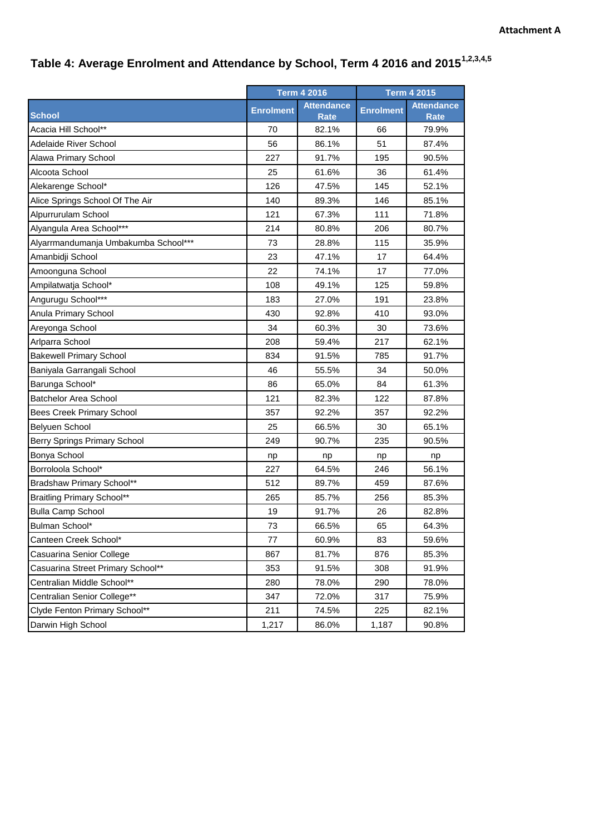## **Table 4: Average Enrolment and Attendance by School, Term 4 2016 and 20151,2,3,4,5**

|                                      | <b>Term 4 2016</b> |                                  | <b>Term 4 2015</b> |                                  |
|--------------------------------------|--------------------|----------------------------------|--------------------|----------------------------------|
| <b>School</b>                        | <b>Enrolment</b>   | <b>Attendance</b><br><b>Rate</b> | <b>Enrolment</b>   | <b>Attendance</b><br><b>Rate</b> |
| Acacia Hill School**                 | 70                 | 82.1%                            | 66                 | 79.9%                            |
| <b>Adelaide River School</b>         | 56                 | 86.1%                            | 51                 | 87.4%                            |
| Alawa Primary School                 | 227                | 91.7%                            | 195                | 90.5%                            |
| Alcoota School                       | 25                 | 61.6%                            | 36                 | 61.4%                            |
| Alekarenge School*                   | 126                | 47.5%                            | 145                | 52.1%                            |
| Alice Springs School Of The Air      | 140                | 89.3%                            | 146                | 85.1%                            |
| Alpurrurulam School                  | 121                | 67.3%                            | 111                | 71.8%                            |
| Alyangula Area School***             | 214                | 80.8%                            | 206                | 80.7%                            |
| Alyarrmandumanja Umbakumba School*** | 73                 | 28.8%                            | 115                | 35.9%                            |
| Amanbidji School                     | 23                 | 47.1%                            | 17                 | 64.4%                            |
| Amoonguna School                     | 22                 | 74.1%                            | 17                 | 77.0%                            |
| Ampilatwatja School*                 | 108                | 49.1%                            | 125                | 59.8%                            |
| Angurugu School***                   | 183                | 27.0%                            | 191                | 23.8%                            |
| Anula Primary School                 | 430                | 92.8%                            | 410                | 93.0%                            |
| Areyonga School                      | 34                 | 60.3%                            | 30                 | 73.6%                            |
| Arlparra School                      | 208                | 59.4%                            | 217                | 62.1%                            |
| <b>Bakewell Primary School</b>       | 834                | 91.5%                            | 785                | 91.7%                            |
| Baniyala Garrangali School           | 46                 | 55.5%                            | 34                 | 50.0%                            |
| Barunga School*                      | 86                 | 65.0%                            | 84                 | 61.3%                            |
| <b>Batchelor Area School</b>         | 121                | 82.3%                            | 122                | 87.8%                            |
| <b>Bees Creek Primary School</b>     | 357                | 92.2%                            | 357                | 92.2%                            |
| Belyuen School                       | 25                 | 66.5%                            | 30                 | 65.1%                            |
| Berry Springs Primary School         | 249                | 90.7%                            | 235                | 90.5%                            |
| Bonya School                         | np                 | np                               | np                 | np                               |
| Borroloola School*                   | 227                | 64.5%                            | 246                | 56.1%                            |
| Bradshaw Primary School**            | 512                | 89.7%                            | 459                | 87.6%                            |
| <b>Braitling Primary School**</b>    | 265                | 85.7%                            | 256                | 85.3%                            |
| <b>Bulla Camp School</b>             | 19                 | 91.7%                            | 26                 | 82.8%                            |
| Bulman School*                       | 73                 | 66.5%                            | 65                 | 64.3%                            |
| Canteen Creek School*                | 77                 | 60.9%                            | 83                 | 59.6%                            |
| Casuarina Senior College             | 867                | 81.7%                            | 876                | 85.3%                            |
| Casuarina Street Primary School**    | 353                | 91.5%                            | 308                | 91.9%                            |
| Centralian Middle School**           | 280                | 78.0%                            | 290                | 78.0%                            |
| Centralian Senior College**          | 347                | 72.0%                            | 317                | 75.9%                            |
| Clyde Fenton Primary School**        | 211                | 74.5%                            | 225                | 82.1%                            |
| Darwin High School                   | 1,217              | 86.0%                            | 1,187              | 90.8%                            |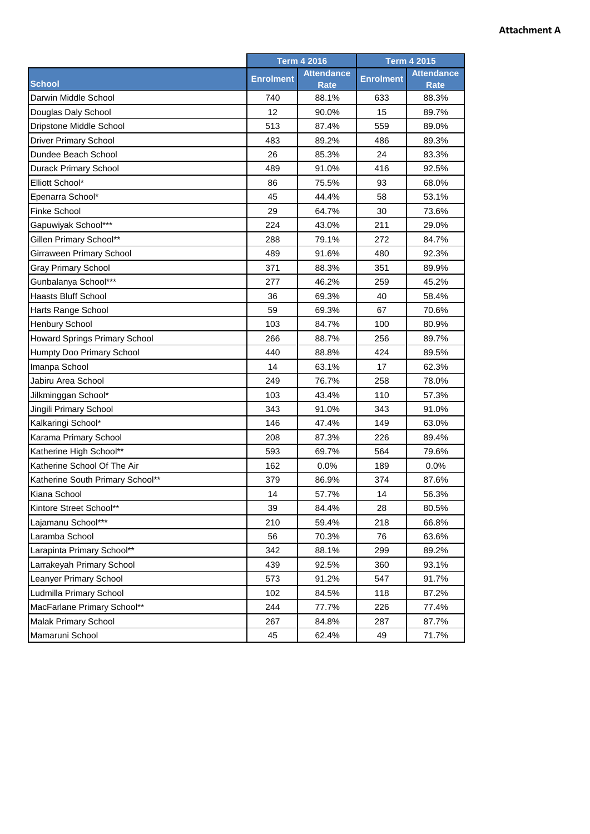## **Attachment A**

| <b>Attendance</b><br><b>Attendance</b><br><b>Enrolment</b><br><b>Enrolment</b><br><b>School</b><br>Rate<br><b>Rate</b><br>Darwin Middle School<br>740<br>88.1%<br>633<br>88.3%<br>12<br>Douglas Daly School<br>90.0%<br>15<br>89.7%<br>Dripstone Middle School<br>513<br>87.4%<br>559<br>89.0%<br><b>Driver Primary School</b><br>483<br>89.2%<br>486<br>89.3%<br>26<br>85.3%<br>83.3%<br>Dundee Beach School<br>24<br>Durack Primary School<br>489<br>91.0%<br>416<br>92.5%<br>Elliott School*<br>86<br>75.5%<br>93<br>68.0%<br>53.1%<br>Epenarra School*<br>45<br>44.4%<br>58<br><b>Finke School</b><br>29<br>64.7%<br>30<br>73.6%<br>Gapuwiyak School***<br>224<br>43.0%<br>211<br>29.0%<br>Gillen Primary School**<br>288<br>79.1%<br>272<br>84.7%<br>Girraween Primary School<br>489<br>91.6%<br>480<br>92.3%<br><b>Gray Primary School</b><br>371<br>88.3%<br>351<br>89.9%<br>Gunbalanya School***<br>277<br>46.2%<br>259<br>45.2%<br><b>Haasts Bluff School</b><br>36<br>69.3%<br>40<br>58.4%<br>59<br>Harts Range School<br>69.3%<br>67<br>70.6%<br><b>Henbury School</b><br>103<br>84.7%<br>100<br>80.9%<br>266<br>89.7%<br>Howard Springs Primary School<br>88.7%<br>256<br>Humpty Doo Primary School<br>440<br>88.8%<br>424<br>89.5% |               | <b>Term 4 2016</b> |       |    | <b>Term 4 2015</b> |  |
|-------------------------------------------------------------------------------------------------------------------------------------------------------------------------------------------------------------------------------------------------------------------------------------------------------------------------------------------------------------------------------------------------------------------------------------------------------------------------------------------------------------------------------------------------------------------------------------------------------------------------------------------------------------------------------------------------------------------------------------------------------------------------------------------------------------------------------------------------------------------------------------------------------------------------------------------------------------------------------------------------------------------------------------------------------------------------------------------------------------------------------------------------------------------------------------------------------------------------------------------------|---------------|--------------------|-------|----|--------------------|--|
|                                                                                                                                                                                                                                                                                                                                                                                                                                                                                                                                                                                                                                                                                                                                                                                                                                                                                                                                                                                                                                                                                                                                                                                                                                                 |               |                    |       |    |                    |  |
|                                                                                                                                                                                                                                                                                                                                                                                                                                                                                                                                                                                                                                                                                                                                                                                                                                                                                                                                                                                                                                                                                                                                                                                                                                                 |               |                    |       |    |                    |  |
|                                                                                                                                                                                                                                                                                                                                                                                                                                                                                                                                                                                                                                                                                                                                                                                                                                                                                                                                                                                                                                                                                                                                                                                                                                                 |               |                    |       |    |                    |  |
|                                                                                                                                                                                                                                                                                                                                                                                                                                                                                                                                                                                                                                                                                                                                                                                                                                                                                                                                                                                                                                                                                                                                                                                                                                                 |               |                    |       |    |                    |  |
|                                                                                                                                                                                                                                                                                                                                                                                                                                                                                                                                                                                                                                                                                                                                                                                                                                                                                                                                                                                                                                                                                                                                                                                                                                                 |               |                    |       |    |                    |  |
|                                                                                                                                                                                                                                                                                                                                                                                                                                                                                                                                                                                                                                                                                                                                                                                                                                                                                                                                                                                                                                                                                                                                                                                                                                                 |               |                    |       |    |                    |  |
|                                                                                                                                                                                                                                                                                                                                                                                                                                                                                                                                                                                                                                                                                                                                                                                                                                                                                                                                                                                                                                                                                                                                                                                                                                                 |               |                    |       |    |                    |  |
|                                                                                                                                                                                                                                                                                                                                                                                                                                                                                                                                                                                                                                                                                                                                                                                                                                                                                                                                                                                                                                                                                                                                                                                                                                                 |               |                    |       |    |                    |  |
|                                                                                                                                                                                                                                                                                                                                                                                                                                                                                                                                                                                                                                                                                                                                                                                                                                                                                                                                                                                                                                                                                                                                                                                                                                                 |               |                    |       |    |                    |  |
|                                                                                                                                                                                                                                                                                                                                                                                                                                                                                                                                                                                                                                                                                                                                                                                                                                                                                                                                                                                                                                                                                                                                                                                                                                                 |               |                    |       |    |                    |  |
|                                                                                                                                                                                                                                                                                                                                                                                                                                                                                                                                                                                                                                                                                                                                                                                                                                                                                                                                                                                                                                                                                                                                                                                                                                                 |               |                    |       |    |                    |  |
|                                                                                                                                                                                                                                                                                                                                                                                                                                                                                                                                                                                                                                                                                                                                                                                                                                                                                                                                                                                                                                                                                                                                                                                                                                                 |               |                    |       |    |                    |  |
|                                                                                                                                                                                                                                                                                                                                                                                                                                                                                                                                                                                                                                                                                                                                                                                                                                                                                                                                                                                                                                                                                                                                                                                                                                                 |               |                    |       |    |                    |  |
|                                                                                                                                                                                                                                                                                                                                                                                                                                                                                                                                                                                                                                                                                                                                                                                                                                                                                                                                                                                                                                                                                                                                                                                                                                                 |               |                    |       |    |                    |  |
|                                                                                                                                                                                                                                                                                                                                                                                                                                                                                                                                                                                                                                                                                                                                                                                                                                                                                                                                                                                                                                                                                                                                                                                                                                                 |               |                    |       |    |                    |  |
|                                                                                                                                                                                                                                                                                                                                                                                                                                                                                                                                                                                                                                                                                                                                                                                                                                                                                                                                                                                                                                                                                                                                                                                                                                                 |               |                    |       |    |                    |  |
|                                                                                                                                                                                                                                                                                                                                                                                                                                                                                                                                                                                                                                                                                                                                                                                                                                                                                                                                                                                                                                                                                                                                                                                                                                                 |               |                    |       |    |                    |  |
|                                                                                                                                                                                                                                                                                                                                                                                                                                                                                                                                                                                                                                                                                                                                                                                                                                                                                                                                                                                                                                                                                                                                                                                                                                                 |               |                    |       |    |                    |  |
|                                                                                                                                                                                                                                                                                                                                                                                                                                                                                                                                                                                                                                                                                                                                                                                                                                                                                                                                                                                                                                                                                                                                                                                                                                                 |               |                    |       |    |                    |  |
|                                                                                                                                                                                                                                                                                                                                                                                                                                                                                                                                                                                                                                                                                                                                                                                                                                                                                                                                                                                                                                                                                                                                                                                                                                                 |               |                    |       |    |                    |  |
|                                                                                                                                                                                                                                                                                                                                                                                                                                                                                                                                                                                                                                                                                                                                                                                                                                                                                                                                                                                                                                                                                                                                                                                                                                                 |               |                    |       |    |                    |  |
|                                                                                                                                                                                                                                                                                                                                                                                                                                                                                                                                                                                                                                                                                                                                                                                                                                                                                                                                                                                                                                                                                                                                                                                                                                                 | Imanpa School | 14                 | 63.1% | 17 | 62.3%              |  |
| 249<br>76.7%<br>258<br>78.0%<br>Jabiru Area School                                                                                                                                                                                                                                                                                                                                                                                                                                                                                                                                                                                                                                                                                                                                                                                                                                                                                                                                                                                                                                                                                                                                                                                              |               |                    |       |    |                    |  |
| Jilkminggan School*<br>103<br>43.4%<br>110<br>57.3%                                                                                                                                                                                                                                                                                                                                                                                                                                                                                                                                                                                                                                                                                                                                                                                                                                                                                                                                                                                                                                                                                                                                                                                             |               |                    |       |    |                    |  |
| Jingili Primary School<br>343<br>91.0%<br>343<br>91.0%                                                                                                                                                                                                                                                                                                                                                                                                                                                                                                                                                                                                                                                                                                                                                                                                                                                                                                                                                                                                                                                                                                                                                                                          |               |                    |       |    |                    |  |
| Kalkaringi School*<br>146<br>47.4%<br>149<br>63.0%                                                                                                                                                                                                                                                                                                                                                                                                                                                                                                                                                                                                                                                                                                                                                                                                                                                                                                                                                                                                                                                                                                                                                                                              |               |                    |       |    |                    |  |
| Karama Primary School<br>208<br>87.3%<br>226<br>89.4%                                                                                                                                                                                                                                                                                                                                                                                                                                                                                                                                                                                                                                                                                                                                                                                                                                                                                                                                                                                                                                                                                                                                                                                           |               |                    |       |    |                    |  |
| Katherine High School**<br>593<br>69.7%<br>564<br>79.6%                                                                                                                                                                                                                                                                                                                                                                                                                                                                                                                                                                                                                                                                                                                                                                                                                                                                                                                                                                                                                                                                                                                                                                                         |               |                    |       |    |                    |  |
| Katherine School Of The Air<br>162<br>0.0%<br>189<br>0.0%                                                                                                                                                                                                                                                                                                                                                                                                                                                                                                                                                                                                                                                                                                                                                                                                                                                                                                                                                                                                                                                                                                                                                                                       |               |                    |       |    |                    |  |
| Katherine South Primary School**<br>379<br>86.9%<br>374<br>87.6%                                                                                                                                                                                                                                                                                                                                                                                                                                                                                                                                                                                                                                                                                                                                                                                                                                                                                                                                                                                                                                                                                                                                                                                |               |                    |       |    |                    |  |
| Kiana School<br>14<br>57.7%<br>14<br>56.3%                                                                                                                                                                                                                                                                                                                                                                                                                                                                                                                                                                                                                                                                                                                                                                                                                                                                                                                                                                                                                                                                                                                                                                                                      |               |                    |       |    |                    |  |
| Kintore Street School**<br>39<br>28<br>80.5%<br>84.4%                                                                                                                                                                                                                                                                                                                                                                                                                                                                                                                                                                                                                                                                                                                                                                                                                                                                                                                                                                                                                                                                                                                                                                                           |               |                    |       |    |                    |  |
| Lajamanu School***<br>210<br>59.4%<br>218<br>66.8%                                                                                                                                                                                                                                                                                                                                                                                                                                                                                                                                                                                                                                                                                                                                                                                                                                                                                                                                                                                                                                                                                                                                                                                              |               |                    |       |    |                    |  |
| Laramba School<br>56<br>70.3%<br>63.6%<br>76                                                                                                                                                                                                                                                                                                                                                                                                                                                                                                                                                                                                                                                                                                                                                                                                                                                                                                                                                                                                                                                                                                                                                                                                    |               |                    |       |    |                    |  |
| Larapinta Primary School**<br>342<br>88.1%<br>299<br>89.2%                                                                                                                                                                                                                                                                                                                                                                                                                                                                                                                                                                                                                                                                                                                                                                                                                                                                                                                                                                                                                                                                                                                                                                                      |               |                    |       |    |                    |  |
| Larrakeyah Primary School<br>439<br>92.5%<br>360<br>93.1%                                                                                                                                                                                                                                                                                                                                                                                                                                                                                                                                                                                                                                                                                                                                                                                                                                                                                                                                                                                                                                                                                                                                                                                       |               |                    |       |    |                    |  |
| Leanyer Primary School<br>573<br>91.2%<br>547<br>91.7%                                                                                                                                                                                                                                                                                                                                                                                                                                                                                                                                                                                                                                                                                                                                                                                                                                                                                                                                                                                                                                                                                                                                                                                          |               |                    |       |    |                    |  |
| Ludmilla Primary School<br>102<br>84.5%<br>87.2%<br>118                                                                                                                                                                                                                                                                                                                                                                                                                                                                                                                                                                                                                                                                                                                                                                                                                                                                                                                                                                                                                                                                                                                                                                                         |               |                    |       |    |                    |  |
| MacFarlane Primary School**<br>244<br>77.7%<br>226<br>77.4%                                                                                                                                                                                                                                                                                                                                                                                                                                                                                                                                                                                                                                                                                                                                                                                                                                                                                                                                                                                                                                                                                                                                                                                     |               |                    |       |    |                    |  |
| Malak Primary School<br>84.8%<br>287<br>87.7%<br>267                                                                                                                                                                                                                                                                                                                                                                                                                                                                                                                                                                                                                                                                                                                                                                                                                                                                                                                                                                                                                                                                                                                                                                                            |               |                    |       |    |                    |  |
| 49<br>Mamaruni School<br>45<br>62.4%<br>71.7%                                                                                                                                                                                                                                                                                                                                                                                                                                                                                                                                                                                                                                                                                                                                                                                                                                                                                                                                                                                                                                                                                                                                                                                                   |               |                    |       |    |                    |  |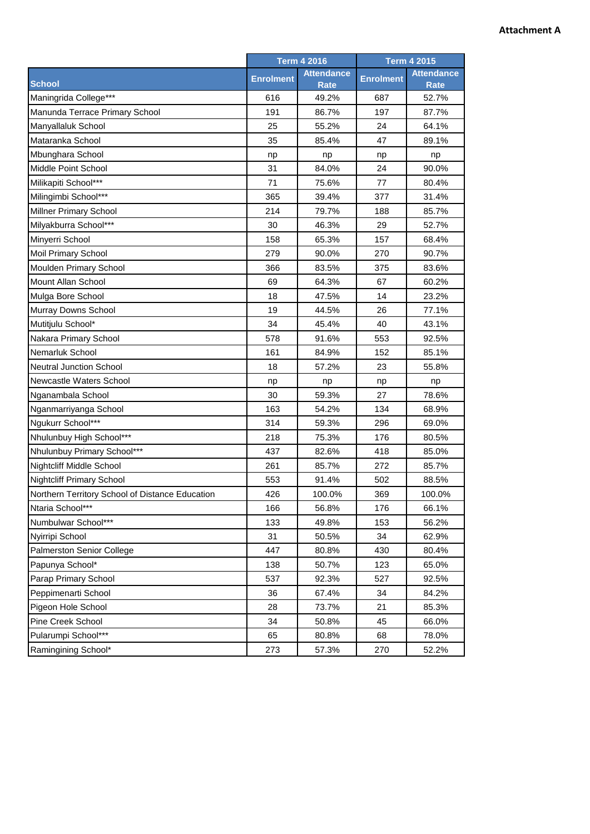## **Attachment A**

|                                                 | <b>Term 4 2016</b> |                                  | <b>Term 4 2015</b> |                                  |
|-------------------------------------------------|--------------------|----------------------------------|--------------------|----------------------------------|
| <b>School</b>                                   | <b>Enrolment</b>   | <b>Attendance</b><br><b>Rate</b> | <b>Enrolment</b>   | <b>Attendance</b><br><b>Rate</b> |
| Maningrida College***                           | 616                | 49.2%                            | 687                | 52.7%                            |
| Manunda Terrace Primary School                  | 191                | 86.7%                            | 197                | 87.7%                            |
| Manyallaluk School                              | 25                 | 55.2%                            | 24                 | 64.1%                            |
| Mataranka School                                | 35                 | 85.4%                            | 47                 | 89.1%                            |
| Mbunghara School                                | np                 | np                               | np                 | np                               |
| Middle Point School                             | 31                 | 84.0%                            | 24                 | 90.0%                            |
| Milikapiti School***                            | 71                 | 75.6%                            | 77                 | 80.4%                            |
| Milingimbi School***                            | 365                | 39.4%                            | 377                | 31.4%                            |
| Millner Primary School                          | 214                | 79.7%                            | 188                | 85.7%                            |
| Milyakburra School***                           | 30                 | 46.3%                            | 29                 | 52.7%                            |
| Minyerri School                                 | 158                | 65.3%                            | 157                | 68.4%                            |
| Moil Primary School                             | 279                | 90.0%                            | 270                | 90.7%                            |
| Moulden Primary School                          | 366                | 83.5%                            | 375                | 83.6%                            |
| Mount Allan School                              | 69                 | 64.3%                            | 67                 | 60.2%                            |
| Mulga Bore School                               | 18                 | 47.5%                            | 14                 | 23.2%                            |
| Murray Downs School                             | 19                 | 44.5%                            | 26                 | 77.1%                            |
| Mutitjulu School*                               | 34                 | 45.4%                            | 40                 | 43.1%                            |
| Nakara Primary School                           | 578                | 91.6%                            | 553                | 92.5%                            |
| Nemarluk School                                 | 161                | 84.9%                            | 152                | 85.1%                            |
| <b>Neutral Junction School</b>                  | 18                 | 57.2%                            | 23                 | 55.8%                            |
| Newcastle Waters School                         | np                 | np                               | np                 | np                               |
| Nganambala School                               | 30                 | 59.3%                            | 27                 | 78.6%                            |
| Nganmarriyanga School                           | 163                | 54.2%                            | 134                | 68.9%                            |
| Ngukurr School***                               | 314                | 59.3%                            | 296                | 69.0%                            |
| Nhulunbuy High School***                        | 218                | 75.3%                            | 176                | 80.5%                            |
| Nhulunbuy Primary School***                     | 437                | 82.6%                            | 418                | 85.0%                            |
| <b>Nightcliff Middle School</b>                 | 261                | 85.7%                            | 272                | 85.7%                            |
| <b>Nightcliff Primary School</b>                | 553                | 91.4%                            | 502                | 88.5%                            |
| Northern Territory School of Distance Education | 426                | 100.0%                           | 369                | 100.0%                           |
| Ntaria School***                                | 166                | 56.8%                            | 176                | 66.1%                            |
| Numbulwar School***                             | 133                | 49.8%                            | 153                | 56.2%                            |
| Nyirripi School                                 | 31                 | 50.5%                            | 34                 | 62.9%                            |
| Palmerston Senior College                       | 447                | 80.8%                            | 430                | 80.4%                            |
| Papunya School*                                 | 138                | 50.7%                            | 123                | 65.0%                            |
| Parap Primary School                            | 537                | 92.3%                            | 527                | 92.5%                            |
| Peppimenarti School                             | 36                 | 67.4%                            | 34                 | 84.2%                            |
| Pigeon Hole School                              | 28                 | 73.7%                            | 21                 | 85.3%                            |
| Pine Creek School                               | 34                 | 50.8%                            | 45                 | 66.0%                            |
| Pularumpi School***                             | 65                 | 80.8%                            | 68                 | 78.0%                            |
| Ramingining School*                             | 273                | 57.3%                            | 270                | 52.2%                            |